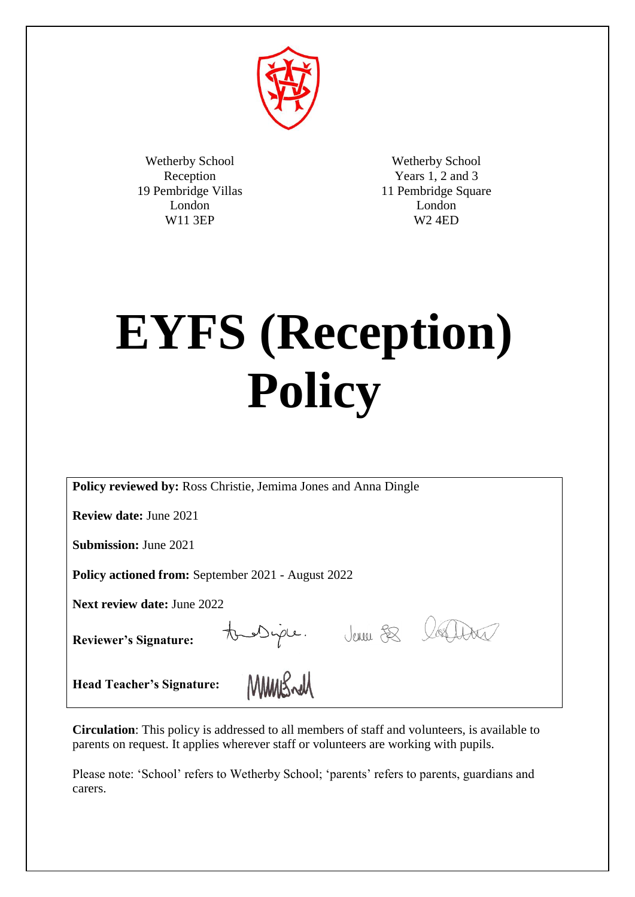

Wetherby School Reception 19 Pembridge Villas London W11 3EP

Wetherby School Years 1, 2 and 3 11 Pembridge Square London W2 4ED

# **EYFS (Reception) Policy**

**Policy reviewed by:** Ross Christie, Jemima Jones and Anna Dingle

**Review date:** June 2021

**Submission:** June 2021

**Policy actioned from:** September 2021 - August 2022

**Reviewer's Signature:**

Next review date: June 2022<br>
Reviewer's Signature: **Diple.** Jewel & Latter **Head Teacher's Signature:**

**Circulation**: This policy is addressed to all members of staff and volunteers, is available to parents on request. It applies wherever staff or volunteers are working with pupils.

Please note: 'School' refers to Wetherby School; 'parents' refers to parents, guardians and carers.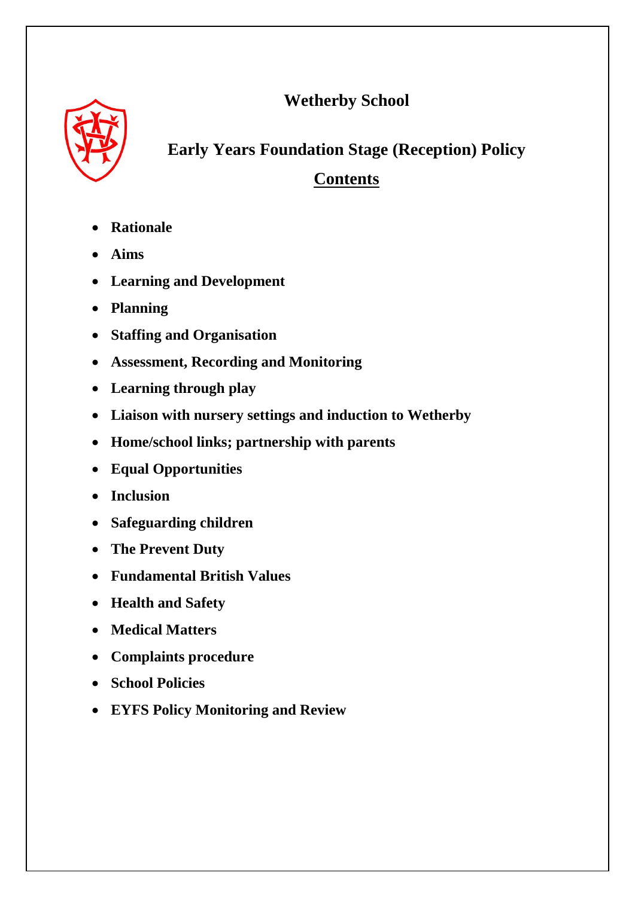**Wetherby School**



# **Early Years Foundation Stage (Reception) Policy**

# **Contents**

- **Rationale**
- **Aims**
- **Learning and Development**
- **Planning**
- **Staffing and Organisation**
- **Assessment, Recording and Monitoring**
- **Learning through play**
- **Liaison with nursery settings and induction to Wetherby**
- **Home/school links; partnership with parents**
- **Equal Opportunities**
- **Inclusion**
- **Safeguarding children**
- **The Prevent Duty**
- **Fundamental British Values**
- **Health and Safety**
- **Medical Matters**
- **Complaints procedure**
- **School Policies**
- **EYFS Policy Monitoring and Review**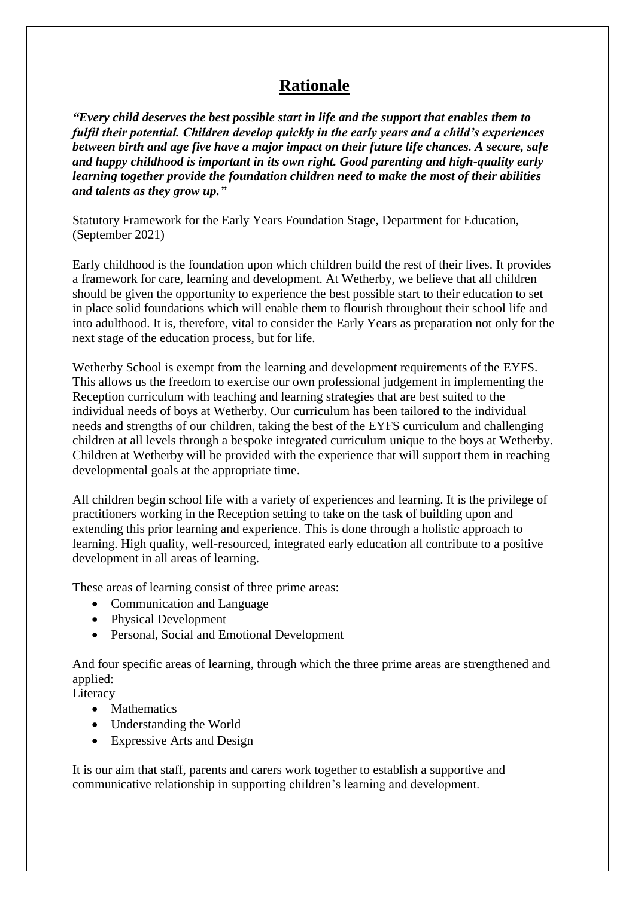## **Rationale**

*"Every child deserves the best possible start in life and the support that enables them to fulfil their potential. Children develop quickly in the early years and a child's experiences between birth and age five have a major impact on their future life chances. A secure, safe and happy childhood is important in its own right. Good parenting and high-quality early learning together provide the foundation children need to make the most of their abilities and talents as they grow up."*

Statutory Framework for the Early Years Foundation Stage, Department for Education, (September 2021)

Early childhood is the foundation upon which children build the rest of their lives. It provides a framework for care, learning and development. At Wetherby, we believe that all children should be given the opportunity to experience the best possible start to their education to set in place solid foundations which will enable them to flourish throughout their school life and into adulthood. It is, therefore, vital to consider the Early Years as preparation not only for the next stage of the education process, but for life.

Wetherby School is exempt from the learning and development requirements of the EYFS. This allows us the freedom to exercise our own professional judgement in implementing the Reception curriculum with teaching and learning strategies that are best suited to the individual needs of boys at Wetherby. Our curriculum has been tailored to the individual needs and strengths of our children, taking the best of the EYFS curriculum and challenging children at all levels through a bespoke integrated curriculum unique to the boys at Wetherby. Children at Wetherby will be provided with the experience that will support them in reaching developmental goals at the appropriate time.

All children begin school life with a variety of experiences and learning. It is the privilege of practitioners working in the Reception setting to take on the task of building upon and extending this prior learning and experience. This is done through a holistic approach to learning. High quality, well-resourced, integrated early education all contribute to a positive development in all areas of learning.

These areas of learning consist of three prime areas:

- Communication and Language
- Physical Development
- Personal, Social and Emotional Development

And four specific areas of learning, through which the three prime areas are strengthened and applied:

Literacy

- Mathematics
- Understanding the World
- Expressive Arts and Design

It is our aim that staff, parents and carers work together to establish a supportive and communicative relationship in supporting children's learning and development.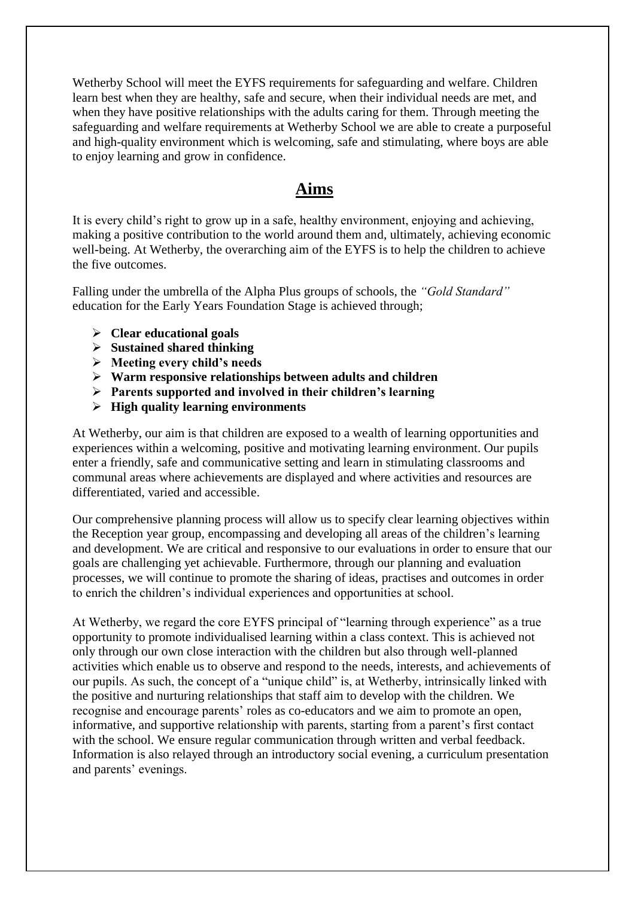Wetherby School will meet the EYFS requirements for safeguarding and welfare. Children learn best when they are healthy, safe and secure, when their individual needs are met, and when they have positive relationships with the adults caring for them. Through meeting the safeguarding and welfare requirements at Wetherby School we are able to create a purposeful and high-quality environment which is welcoming, safe and stimulating, where boys are able to enjoy learning and grow in confidence.

### **Aims**

It is every child's right to grow up in a safe, healthy environment, enjoying and achieving, making a positive contribution to the world around them and, ultimately, achieving economic well-being. At Wetherby, the overarching aim of the EYFS is to help the children to achieve the five outcomes.

Falling under the umbrella of the Alpha Plus groups of schools, the *"Gold Standard"* education for the Early Years Foundation Stage is achieved through;

- **Clear educational goals**
- **Sustained shared thinking**
- **Meeting every child's needs**
- **Warm responsive relationships between adults and children**
- **Parents supported and involved in their children's learning**
- **High quality learning environments**

At Wetherby, our aim is that children are exposed to a wealth of learning opportunities and experiences within a welcoming, positive and motivating learning environment. Our pupils enter a friendly, safe and communicative setting and learn in stimulating classrooms and communal areas where achievements are displayed and where activities and resources are differentiated, varied and accessible.

Our comprehensive planning process will allow us to specify clear learning objectives within the Reception year group, encompassing and developing all areas of the children's learning and development. We are critical and responsive to our evaluations in order to ensure that our goals are challenging yet achievable. Furthermore, through our planning and evaluation processes, we will continue to promote the sharing of ideas, practises and outcomes in order to enrich the children's individual experiences and opportunities at school.

At Wetherby, we regard the core EYFS principal of "learning through experience" as a true opportunity to promote individualised learning within a class context. This is achieved not only through our own close interaction with the children but also through well-planned activities which enable us to observe and respond to the needs, interests, and achievements of our pupils. As such, the concept of a "unique child" is, at Wetherby, intrinsically linked with the positive and nurturing relationships that staff aim to develop with the children. We recognise and encourage parents' roles as co-educators and we aim to promote an open, informative, and supportive relationship with parents, starting from a parent's first contact with the school. We ensure regular communication through written and verbal feedback. Information is also relayed through an introductory social evening, a curriculum presentation and parents' evenings.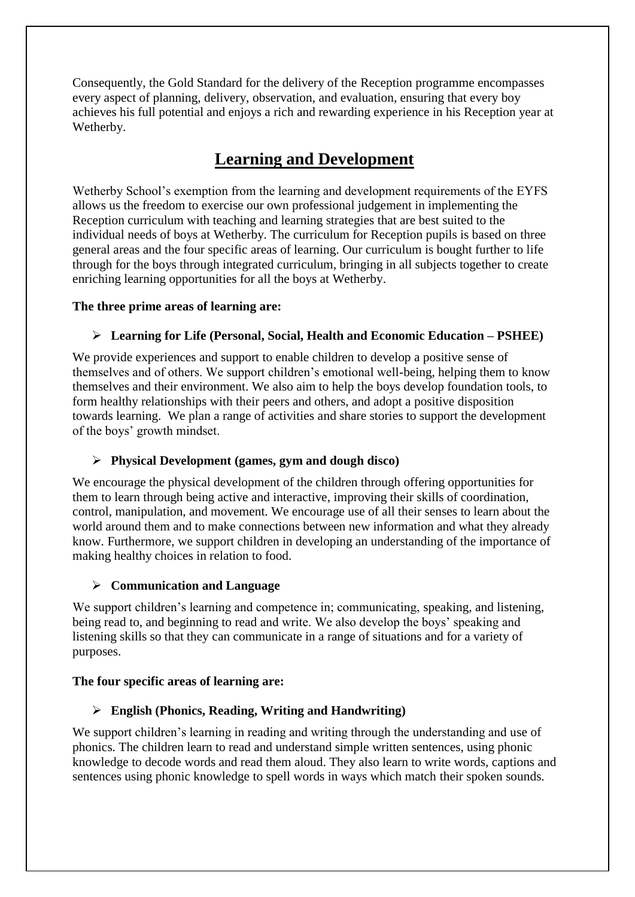Consequently, the Gold Standard for the delivery of the Reception programme encompasses every aspect of planning, delivery, observation, and evaluation, ensuring that every boy achieves his full potential and enjoys a rich and rewarding experience in his Reception year at Wetherby.

# **Learning and Development**

Wetherby School's exemption from the learning and development requirements of the EYFS allows us the freedom to exercise our own professional judgement in implementing the Reception curriculum with teaching and learning strategies that are best suited to the individual needs of boys at Wetherby. The curriculum for Reception pupils is based on three general areas and the four specific areas of learning. Our curriculum is bought further to life through for the boys through integrated curriculum, bringing in all subjects together to create enriching learning opportunities for all the boys at Wetherby.

#### **The three prime areas of learning are:**

#### **Learning for Life (Personal, Social, Health and Economic Education – PSHEE)**

We provide experiences and support to enable children to develop a positive sense of themselves and of others. We support children's emotional well-being, helping them to know themselves and their environment. We also aim to help the boys develop foundation tools, to form healthy relationships with their peers and others, and adopt a positive disposition towards learning. We plan a range of activities and share stories to support the development of the boys' growth mindset.

#### **Physical Development (games, gym and dough disco)**

We encourage the physical development of the children through offering opportunities for them to learn through being active and interactive, improving their skills of coordination, control, manipulation, and movement. We encourage use of all their senses to learn about the world around them and to make connections between new information and what they already know. Furthermore, we support children in developing an understanding of the importance of making healthy choices in relation to food.

#### **Communication and Language**

We support children's learning and competence in; communicating, speaking, and listening, being read to, and beginning to read and write. We also develop the boys' speaking and listening skills so that they can communicate in a range of situations and for a variety of purposes.

#### **The four specific areas of learning are:**

#### **English (Phonics, Reading, Writing and Handwriting)**

We support children's learning in reading and writing through the understanding and use of phonics. The children learn to read and understand simple written sentences, using phonic knowledge to decode words and read them aloud. They also learn to write words, captions and sentences using phonic knowledge to spell words in ways which match their spoken sounds.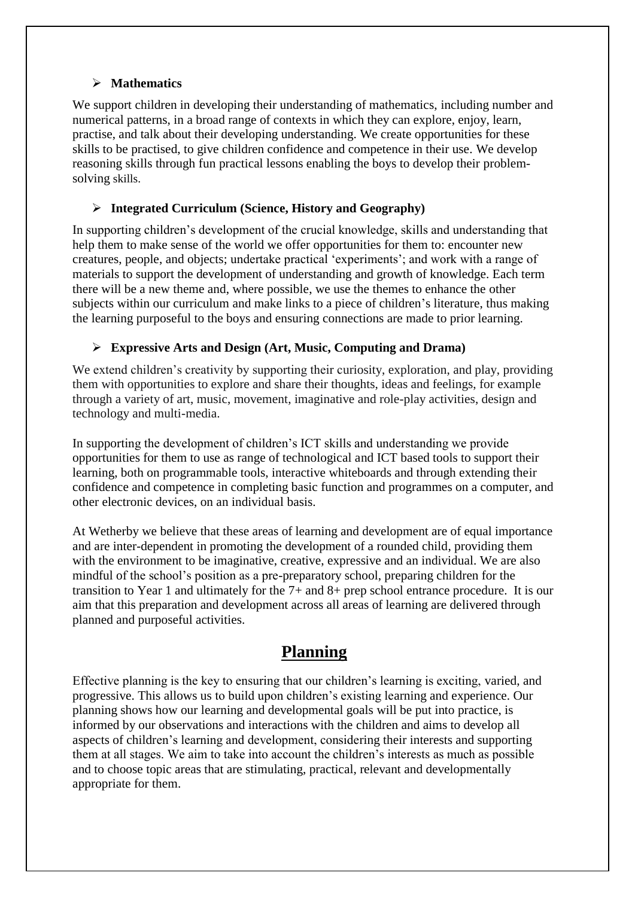#### **Mathematics**

We support children in developing their understanding of mathematics, including number and numerical patterns, in a broad range of contexts in which they can explore, enjoy, learn, practise, and talk about their developing understanding. We create opportunities for these skills to be practised, to give children confidence and competence in their use. We develop reasoning skills through fun practical lessons enabling the boys to develop their problemsolving skills.

#### **Integrated Curriculum (Science, History and Geography)**

In supporting children's development of the crucial knowledge, skills and understanding that help them to make sense of the world we offer opportunities for them to: encounter new creatures, people, and objects; undertake practical 'experiments'; and work with a range of materials to support the development of understanding and growth of knowledge. Each term there will be a new theme and, where possible, we use the themes to enhance the other subjects within our curriculum and make links to a piece of children's literature, thus making the learning purposeful to the boys and ensuring connections are made to prior learning.

#### **Expressive Arts and Design (Art, Music, Computing and Drama)**

We extend children's creativity by supporting their curiosity, exploration, and play, providing them with opportunities to explore and share their thoughts, ideas and feelings, for example through a variety of art, music, movement, imaginative and role-play activities, design and technology and multi-media.

In supporting the development of children's ICT skills and understanding we provide opportunities for them to use as range of technological and ICT based tools to support their learning, both on programmable tools, interactive whiteboards and through extending their confidence and competence in completing basic function and programmes on a computer, and other electronic devices, on an individual basis.

At Wetherby we believe that these areas of learning and development are of equal importance and are inter-dependent in promoting the development of a rounded child, providing them with the environment to be imaginative, creative, expressive and an individual. We are also mindful of the school's position as a pre-preparatory school, preparing children for the transition to Year 1 and ultimately for the 7+ and 8+ prep school entrance procedure. It is our aim that this preparation and development across all areas of learning are delivered through planned and purposeful activities.

## **Planning**

Effective planning is the key to ensuring that our children's learning is exciting, varied, and progressive. This allows us to build upon children's existing learning and experience. Our planning shows how our learning and developmental goals will be put into practice, is informed by our observations and interactions with the children and aims to develop all aspects of children's learning and development, considering their interests and supporting them at all stages. We aim to take into account the children's interests as much as possible and to choose topic areas that are stimulating, practical, relevant and developmentally appropriate for them.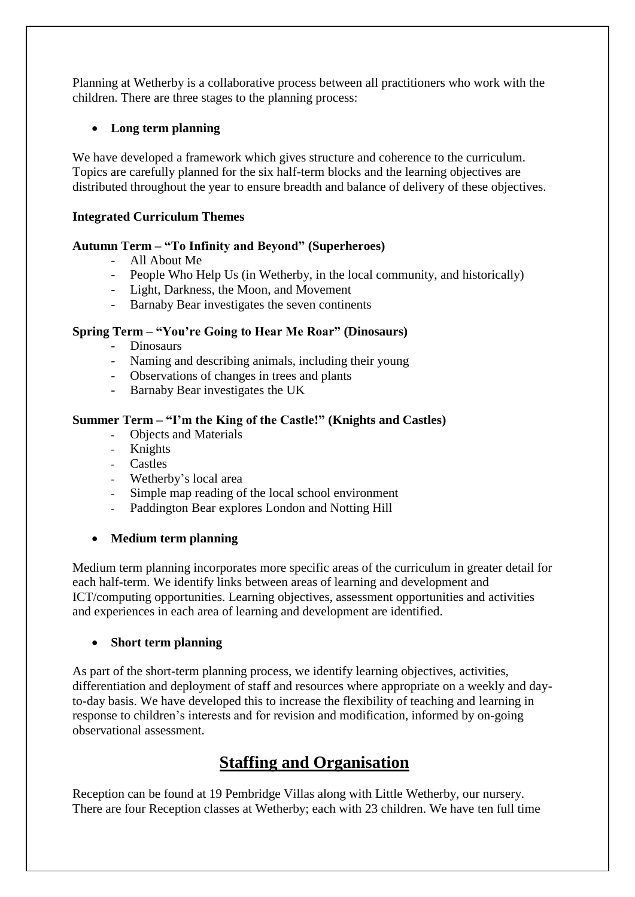Planning at Wetherby is a collaborative process between all practitioners who work with the children. There are three stages to the planning process:

#### **Long term planning**

We have developed a framework which gives structure and coherence to the curriculum. Topics are carefully planned for the six half-term blocks and the learning objectives are distributed throughout the year to ensure breadth and balance of delivery of these objectives.

#### **Integrated Curriculum Themes**

#### **Autumn Term – "To Infinity and Beyond" (Superheroes)**

- All About Me
- People Who Help Us (in Wetherby, in the local community, and historically)
- Light, Darkness, the Moon, and Movement
- Barnaby Bear investigates the seven continents

#### **Spring Term – "You're Going to Hear Me Roar" (Dinosaurs)**

- Dinosaurs
- Naming and describing animals, including their young
- Observations of changes in trees and plants
- Barnaby Bear investigates the UK

#### **Summer Term – "I'm the King of the Castle!" (Knights and Castles)**

- Objects and Materials
- Knights
- Castles
- Wetherby's local area
- Simple map reading of the local school environment
- Paddington Bear explores London and Notting Hill

#### **Medium term planning**

Medium term planning incorporates more specific areas of the curriculum in greater detail for each half-term. We identify links between areas of learning and development and ICT/computing opportunities. Learning objectives, assessment opportunities and activities and experiences in each area of learning and development are identified.

#### **Short term planning**

As part of the short-term planning process, we identify learning objectives, activities, differentiation and deployment of staff and resources where appropriate on a weekly and dayto-day basis. We have developed this to increase the flexibility of teaching and learning in response to children's interests and for revision and modification, informed by on-going observational assessment.

## **Staffing and Organisation**

Reception can be found at 19 Pembridge Villas along with Little Wetherby, our nursery. There are four Reception classes at Wetherby; each with 23 children. We have ten full time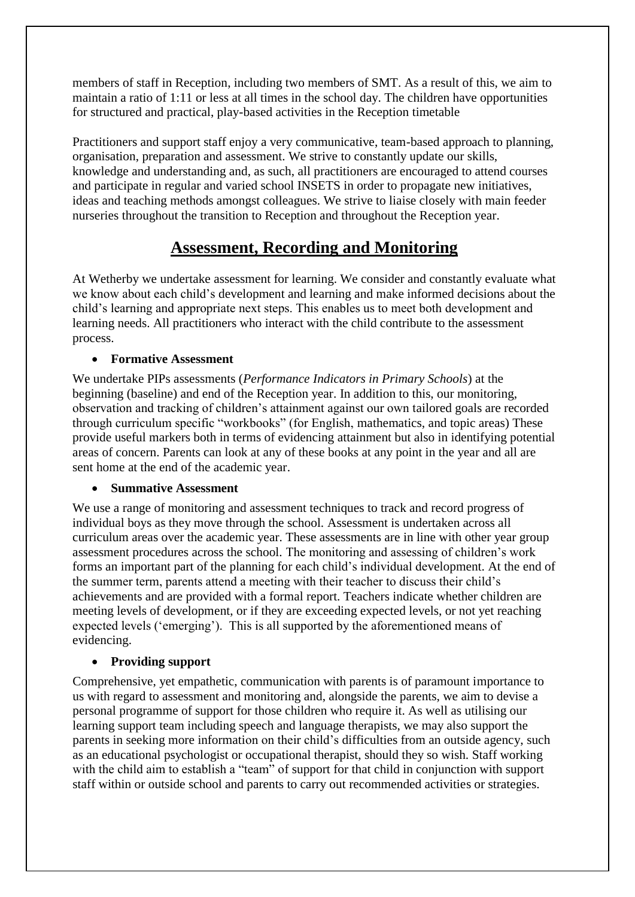members of staff in Reception, including two members of SMT. As a result of this, we aim to maintain a ratio of 1:11 or less at all times in the school day. The children have opportunities for structured and practical, play-based activities in the Reception timetable

Practitioners and support staff enjoy a very communicative, team-based approach to planning, organisation, preparation and assessment. We strive to constantly update our skills, knowledge and understanding and, as such, all practitioners are encouraged to attend courses and participate in regular and varied school INSETS in order to propagate new initiatives, ideas and teaching methods amongst colleagues. We strive to liaise closely with main feeder nurseries throughout the transition to Reception and throughout the Reception year.

## **Assessment, Recording and Monitoring**

At Wetherby we undertake assessment for learning. We consider and constantly evaluate what we know about each child's development and learning and make informed decisions about the child's learning and appropriate next steps. This enables us to meet both development and learning needs. All practitioners who interact with the child contribute to the assessment process.

#### **Formative Assessment**

We undertake PIPs assessments (*Performance Indicators in Primary Schools*) at the beginning (baseline) and end of the Reception year. In addition to this, our monitoring, observation and tracking of children's attainment against our own tailored goals are recorded through curriculum specific "workbooks" (for English, mathematics, and topic areas) These provide useful markers both in terms of evidencing attainment but also in identifying potential areas of concern. Parents can look at any of these books at any point in the year and all are sent home at the end of the academic year.

#### **Summative Assessment**

We use a range of monitoring and assessment techniques to track and record progress of individual boys as they move through the school. Assessment is undertaken across all curriculum areas over the academic year. These assessments are in line with other year group assessment procedures across the school. The monitoring and assessing of children's work forms an important part of the planning for each child's individual development. At the end of the summer term, parents attend a meeting with their teacher to discuss their child's achievements and are provided with a formal report. Teachers indicate whether children are meeting levels of development, or if they are exceeding expected levels, or not yet reaching expected levels ('emerging'). This is all supported by the aforementioned means of evidencing.

#### **Providing support**

Comprehensive, yet empathetic, communication with parents is of paramount importance to us with regard to assessment and monitoring and, alongside the parents, we aim to devise a personal programme of support for those children who require it. As well as utilising our learning support team including speech and language therapists, we may also support the parents in seeking more information on their child's difficulties from an outside agency, such as an educational psychologist or occupational therapist, should they so wish. Staff working with the child aim to establish a "team" of support for that child in conjunction with support staff within or outside school and parents to carry out recommended activities or strategies.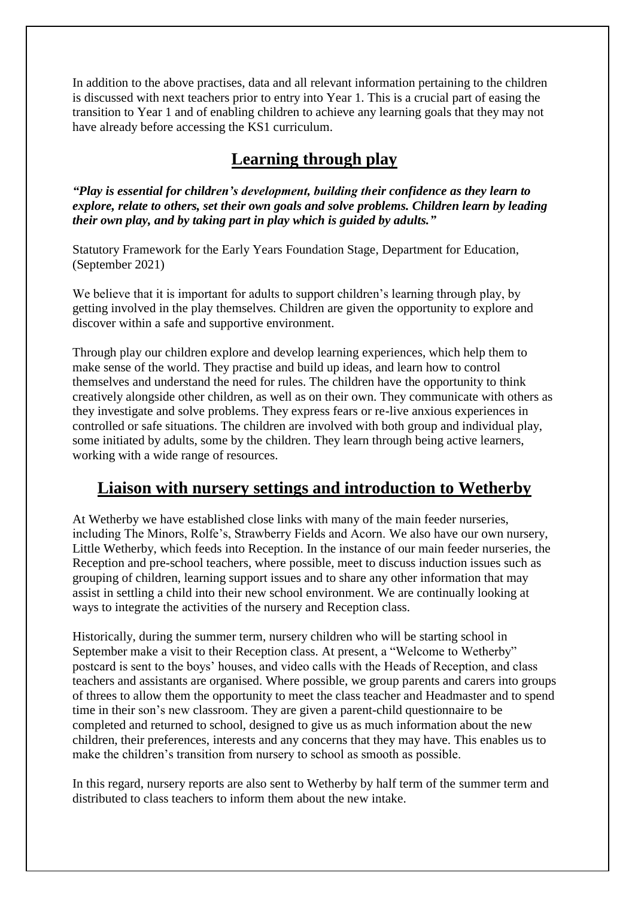In addition to the above practises, data and all relevant information pertaining to the children is discussed with next teachers prior to entry into Year 1. This is a crucial part of easing the transition to Year 1 and of enabling children to achieve any learning goals that they may not have already before accessing the KS1 curriculum.

## **Learning through play**

*"Play is essential for children's development, building their confidence as they learn to explore, relate to others, set their own goals and solve problems. Children learn by leading their own play, and by taking part in play which is guided by adults."*

Statutory Framework for the Early Years Foundation Stage, Department for Education, (September 2021)

We believe that it is important for adults to support children's learning through play, by getting involved in the play themselves. Children are given the opportunity to explore and discover within a safe and supportive environment.

Through play our children explore and develop learning experiences, which help them to make sense of the world. They practise and build up ideas, and learn how to control themselves and understand the need for rules. The children have the opportunity to think creatively alongside other children, as well as on their own. They communicate with others as they investigate and solve problems. They express fears or re-live anxious experiences in controlled or safe situations. The children are involved with both group and individual play, some initiated by adults, some by the children. They learn through being active learners, working with a wide range of resources.

## **Liaison with nursery settings and introduction to Wetherby**

At Wetherby we have established close links with many of the main feeder nurseries, including The Minors, Rolfe's, Strawberry Fields and Acorn. We also have our own nursery, Little Wetherby, which feeds into Reception. In the instance of our main feeder nurseries, the Reception and pre-school teachers, where possible, meet to discuss induction issues such as grouping of children, learning support issues and to share any other information that may assist in settling a child into their new school environment. We are continually looking at ways to integrate the activities of the nursery and Reception class.

Historically, during the summer term, nursery children who will be starting school in September make a visit to their Reception class. At present, a "Welcome to Wetherby" postcard is sent to the boys' houses, and video calls with the Heads of Reception, and class teachers and assistants are organised. Where possible, we group parents and carers into groups of threes to allow them the opportunity to meet the class teacher and Headmaster and to spend time in their son's new classroom. They are given a parent-child questionnaire to be completed and returned to school, designed to give us as much information about the new children, their preferences, interests and any concerns that they may have. This enables us to make the children's transition from nursery to school as smooth as possible.

In this regard, nursery reports are also sent to Wetherby by half term of the summer term and distributed to class teachers to inform them about the new intake.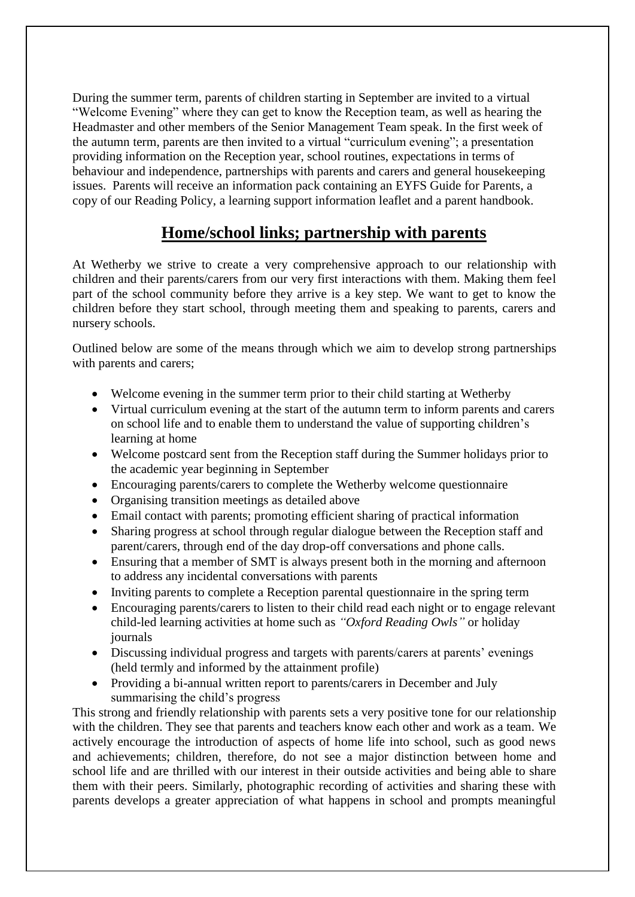During the summer term, parents of children starting in September are invited to a virtual "Welcome Evening" where they can get to know the Reception team, as well as hearing the Headmaster and other members of the Senior Management Team speak. In the first week of the autumn term, parents are then invited to a virtual "curriculum evening"; a presentation providing information on the Reception year, school routines, expectations in terms of behaviour and independence, partnerships with parents and carers and general housekeeping issues. Parents will receive an information pack containing an EYFS Guide for Parents, a copy of our Reading Policy, a learning support information leaflet and a parent handbook.

## **Home/school links; partnership with parents**

At Wetherby we strive to create a very comprehensive approach to our relationship with children and their parents/carers from our very first interactions with them. Making them feel part of the school community before they arrive is a key step. We want to get to know the children before they start school, through meeting them and speaking to parents, carers and nursery schools.

Outlined below are some of the means through which we aim to develop strong partnerships with parents and carers;

- Welcome evening in the summer term prior to their child starting at Wetherby
- Virtual curriculum evening at the start of the autumn term to inform parents and carers on school life and to enable them to understand the value of supporting children's learning at home
- Welcome postcard sent from the Reception staff during the Summer holidays prior to the academic year beginning in September
- Encouraging parents/carers to complete the Wetherby welcome questionnaire
- Organising transition meetings as detailed above
- Email contact with parents; promoting efficient sharing of practical information
- Sharing progress at school through regular dialogue between the Reception staff and parent/carers, through end of the day drop-off conversations and phone calls.
- Ensuring that a member of SMT is always present both in the morning and afternoon to address any incidental conversations with parents
- Inviting parents to complete a Reception parental questionnaire in the spring term
- Encouraging parents/carers to listen to their child read each night or to engage relevant child-led learning activities at home such as *"Oxford Reading Owls"* or holiday journals
- Discussing individual progress and targets with parents/carers at parents' evenings (held termly and informed by the attainment profile)
- Providing a bi-annual written report to parents/carers in December and July summarising the child's progress

This strong and friendly relationship with parents sets a very positive tone for our relationship with the children. They see that parents and teachers know each other and work as a team. We actively encourage the introduction of aspects of home life into school, such as good news and achievements; children, therefore, do not see a major distinction between home and school life and are thrilled with our interest in their outside activities and being able to share them with their peers. Similarly, photographic recording of activities and sharing these with parents develops a greater appreciation of what happens in school and prompts meaningful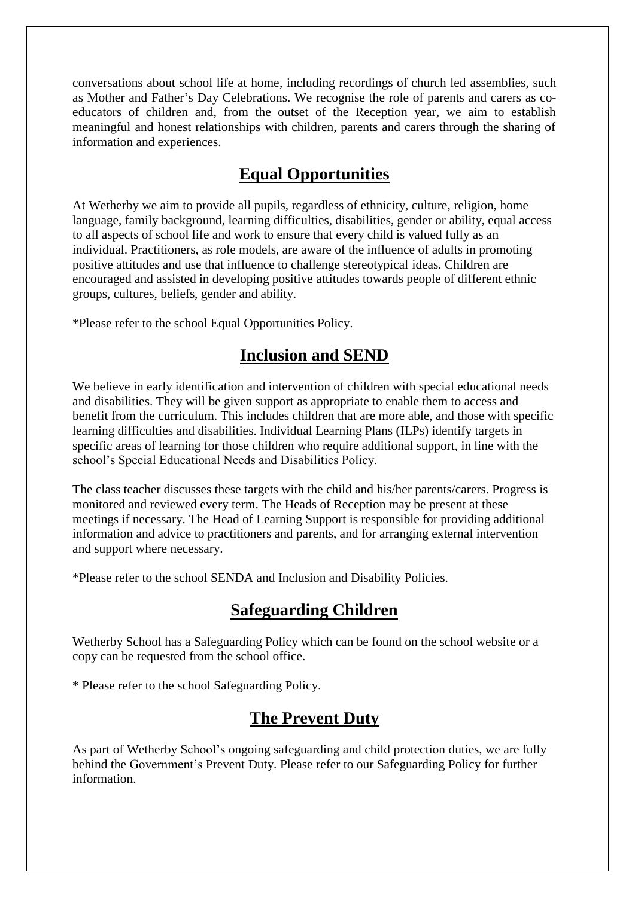conversations about school life at home, including recordings of church led assemblies, such as Mother and Father's Day Celebrations. We recognise the role of parents and carers as coeducators of children and, from the outset of the Reception year, we aim to establish meaningful and honest relationships with children, parents and carers through the sharing of information and experiences.

## **Equal Opportunities**

At Wetherby we aim to provide all pupils, regardless of ethnicity, culture, religion, home language, family background, learning difficulties, disabilities, gender or ability, equal access to all aspects of school life and work to ensure that every child is valued fully as an individual. Practitioners, as role models, are aware of the influence of adults in promoting positive attitudes and use that influence to challenge stereotypical ideas. Children are encouraged and assisted in developing positive attitudes towards people of different ethnic groups, cultures, beliefs, gender and ability.

\*Please refer to the school Equal Opportunities Policy.

## **Inclusion and SEND**

We believe in early identification and intervention of children with special educational needs and disabilities. They will be given support as appropriate to enable them to access and benefit from the curriculum. This includes children that are more able, and those with specific learning difficulties and disabilities. Individual Learning Plans (ILPs) identify targets in specific areas of learning for those children who require additional support, in line with the school's Special Educational Needs and Disabilities Policy.

The class teacher discusses these targets with the child and his/her parents/carers. Progress is monitored and reviewed every term. The Heads of Reception may be present at these meetings if necessary. The Head of Learning Support is responsible for providing additional information and advice to practitioners and parents, and for arranging external intervention and support where necessary.

\*Please refer to the school SENDA and Inclusion and Disability Policies.

## **Safeguarding Children**

Wetherby School has a Safeguarding Policy which can be found on the school website or a copy can be requested from the school office.

\* Please refer to the school Safeguarding Policy.

## **The Prevent Duty**

As part of Wetherby School's ongoing safeguarding and child protection duties, we are fully behind the Government's Prevent Duty. Please refer to our Safeguarding Policy for further information.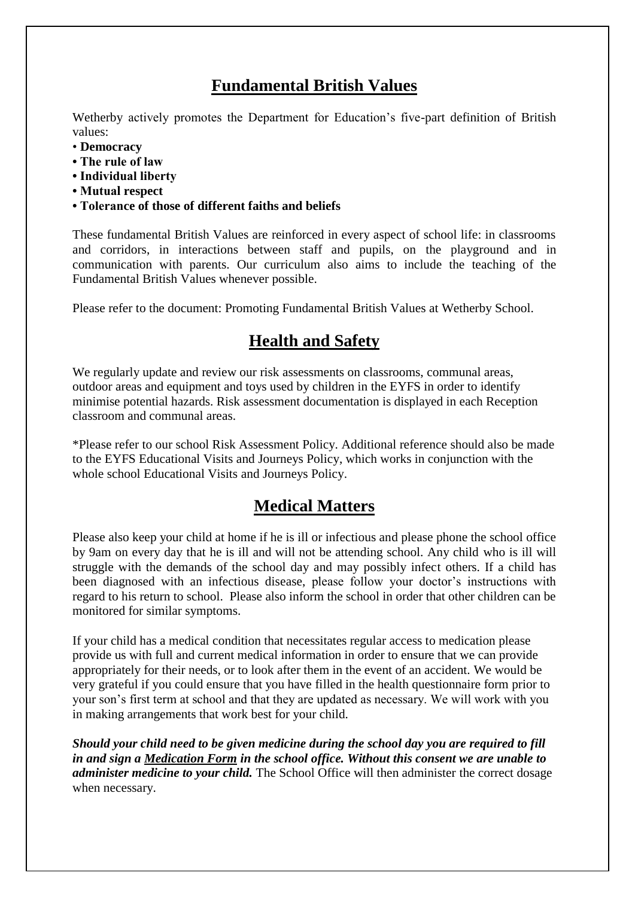## **Fundamental British Values**

Wetherby actively promotes the Department for Education's five-part definition of British values:

- **Democracy**
- **The rule of law**
- **Individual liberty**
- **Mutual respect**
- **Tolerance of those of different faiths and beliefs**

These fundamental British Values are reinforced in every aspect of school life: in classrooms and corridors, in interactions between staff and pupils, on the playground and in communication with parents. Our curriculum also aims to include the teaching of the Fundamental British Values whenever possible.

Please refer to the document: Promoting Fundamental British Values at Wetherby School.

# **Health and Safety**

We regularly update and review our risk assessments on classrooms, communal areas, outdoor areas and equipment and toys used by children in the EYFS in order to identify minimise potential hazards. Risk assessment documentation is displayed in each Reception classroom and communal areas.

\*Please refer to our school Risk Assessment Policy. Additional reference should also be made to the EYFS Educational Visits and Journeys Policy, which works in conjunction with the whole school Educational Visits and Journeys Policy.

## **Medical Matters**

Please also keep your child at home if he is ill or infectious and please phone the school office by 9am on every day that he is ill and will not be attending school. Any child who is ill will struggle with the demands of the school day and may possibly infect others. If a child has been diagnosed with an infectious disease, please follow your doctor's instructions with regard to his return to school. Please also inform the school in order that other children can be monitored for similar symptoms.

If your child has a medical condition that necessitates regular access to medication please provide us with full and current medical information in order to ensure that we can provide appropriately for their needs, or to look after them in the event of an accident. We would be very grateful if you could ensure that you have filled in the health questionnaire form prior to your son's first term at school and that they are updated as necessary. We will work with you in making arrangements that work best for your child.

*Should your child need to be given medicine during the school day you are required to fill in and sign a Medication Form in the school office. Without this consent we are unable to administer medicine to your child.* The School Office will then administer the correct dosage when necessary.